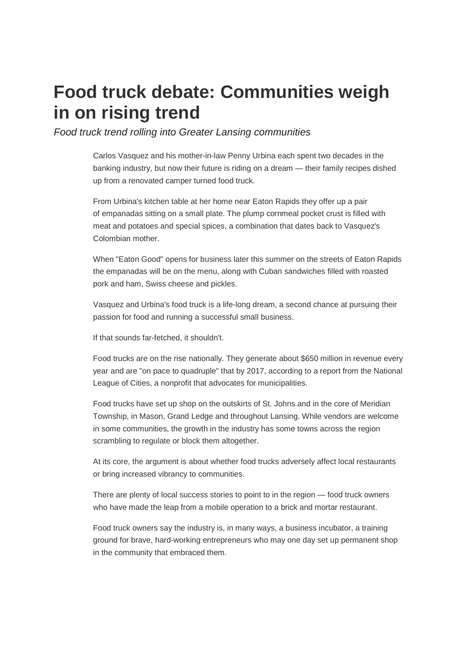# **Food truck debate: Communities weigh in on rising trend**

Food truck trend rolling into Greater Lansing communities

Carlos Vasquez and his mother-in-law Penny Urbina each spent two decades in the banking industry, but now their future is riding on a dream — their family recipes dished up from a renovated camper turned food truck.

From Urbina's kitchen table at her home near Eaton Rapids they offer up a pair of empanadas sitting on a small plate. The plump cornmeal pocket crust is filled with meat and potatoes and special spices, a combination that dates back to Vasquez's Colombian mother.

When "Eaton Good" opens for business later this summer on the streets of Eaton Rapids the empanadas will be on the menu, along with Cuban sandwiches filled with roasted pork and ham, Swiss cheese and pickles.

Vasquez and Urbina's food truck is a life-long dream, a second chance at pursuing their passion for food and running a successful small business.

If that sounds far-fetched, it shouldn't.

Food trucks are on the rise nationally. They generate about \$650 million in revenue every year and are "on pace to quadruple" that by 2017, according to a report from the National League of Cities, a nonprofit that advocates for municipalities.

Food trucks have set up shop on the outskirts of St. Johns and in the core of Meridian Township, in Mason, Grand Ledge and throughout Lansing. While vendors are welcome in some communities, the growth in the industry has some towns across the region scrambling to regulate or block them altogether.

At its core, the argument is about whether food trucks adversely affect local restaurants or bring increased vibrancy to communities.

There are plenty of local success stories to point to in the region — food truck owners who have made the leap from a mobile operation to a brick and mortar restaurant.

Food truck owners say the industry is, in many ways, a business incubator, a training ground for brave, hard-working entrepreneurs who may one day set up permanent shop in the community that embraced them.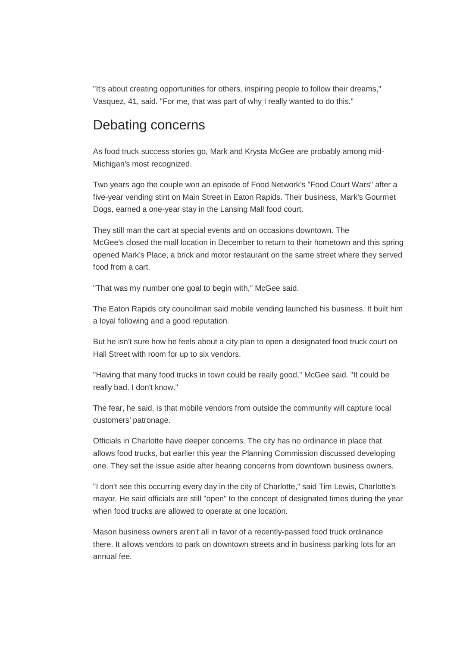"It's about creating opportunities for others, inspiring people to follow their dreams," Vasquez, 41, said. "For me, that was part of why I really wanted to do this."

#### Debating concerns

As food truck success stories go, Mark and Krysta McGee are probably among mid-Michigan's most recognized.

Two years ago the couple won an episode of Food Network's "Food Court Wars" after a five-year vending stint on Main Street in Eaton Rapids. Their business, Mark's Gourmet Dogs, earned a one-year stay in the Lansing Mall food court.

They still man the cart at special events and on occasions downtown. The McGee's closed the mall location in December to return to their hometown and this spring opened Mark's Place, a brick and motor restaurant on the same street where they served food from a cart.

"That was my number one goal to begin with," McGee said.

The Eaton Rapids city councilman said mobile vending launched his business. It built him a loyal following and a good reputation.

But he isn't sure how he feels about a city plan to open a designated food truck court on Hall Street with room for up to six vendors.

"Having that many food trucks in town could be really good," McGee said. "It could be really bad. I don't know."

The fear, he said, is that mobile vendors from outside the community will capture local customers' patronage.

Officials in Charlotte have deeper concerns. The city has no ordinance in place that allows food trucks, but earlier this year the Planning Commission discussed developing one. They set the issue aside after hearing concerns from downtown business owners.

"I don't see this occurring every day in the city of Charlotte," said Tim Lewis, Charlotte's mayor. He said officials are still "open" to the concept of designated times during the year when food trucks are allowed to operate at one location.

Mason business owners aren't all in favor of a recently-passed food truck ordinance there. It allows vendors to park on downtown streets and in business parking lots for an annual fee.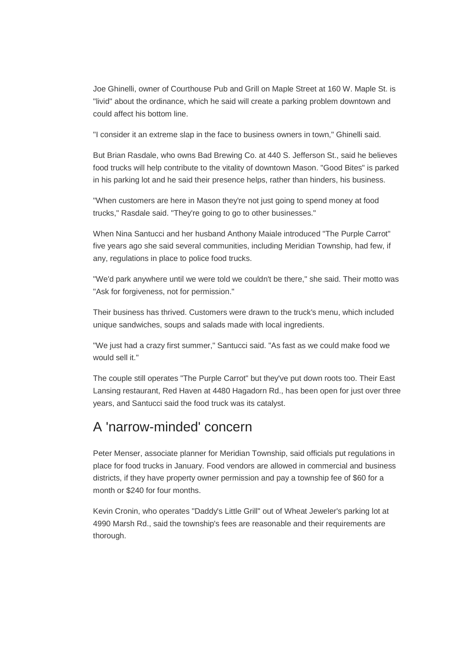Joe Ghinelli, owner of Courthouse Pub and Grill on Maple Street at 160 W. Maple St. is "livid" about the ordinance, which he said will create a parking problem downtown and could affect his bottom line.

"I consider it an extreme slap in the face to business owners in town," Ghinelli said.

But Brian Rasdale, who owns Bad Brewing Co. at 440 S. Jefferson St., said he believes food trucks will help contribute to the vitality of downtown Mason. "Good Bites" is parked in his parking lot and he said their presence helps, rather than hinders, his business.

"When customers are here in Mason they're not just going to spend money at food trucks," Rasdale said. "They're going to go to other businesses."

When Nina Santucci and her husband Anthony Maiale introduced "The Purple Carrot" five years ago she said several communities, including Meridian Township, had few, if any, regulations in place to police food trucks.

"We'd park anywhere until we were told we couldn't be there," she said. Their motto was "Ask for forgiveness, not for permission."

Their business has thrived. Customers were drawn to the truck's menu, which included unique sandwiches, soups and salads made with local ingredients.

"We just had a crazy first summer," Santucci said. "As fast as we could make food we would sell it."

The couple still operates "The Purple Carrot" but they've put down roots too. Their East Lansing restaurant, Red Haven at 4480 Hagadorn Rd., has been open for just over three years, and Santucci said the food truck was its catalyst.

## A 'narrow-minded' concern

Peter Menser, associate planner for Meridian Township, said officials put regulations in place for food trucks in January. Food vendors are allowed in commercial and business districts, if they have property owner permission and pay a township fee of \$60 for a month or \$240 for four months.

Kevin Cronin, who operates "Daddy's Little Grill" out of Wheat Jeweler's parking lot at 4990 Marsh Rd., said the township's fees are reasonable and their requirements are thorough.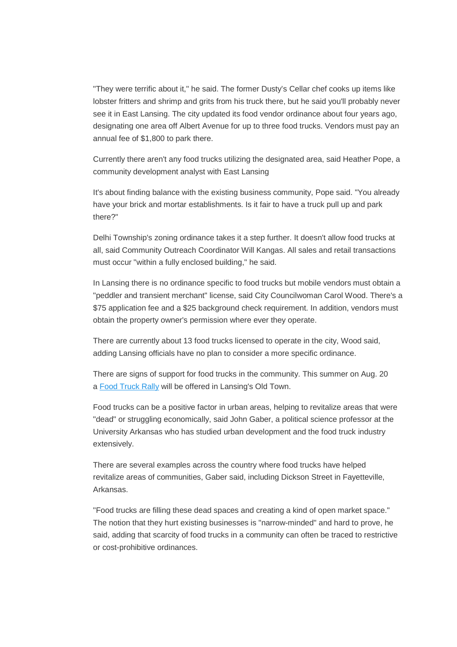"They were terrific about it," he said. The former Dusty's Cellar chef cooks up items like lobster fritters and shrimp and grits from his truck there, but he said you'll probably never see it in East Lansing. The city updated its food vendor ordinance about four years ago, designating one area off Albert Avenue for up to three food trucks. Vendors must pay an annual fee of \$1,800 to park there.

Currently there aren't any food trucks utilizing the designated area, said Heather Pope, a community development analyst with East Lansing

It's about finding balance with the existing business community, Pope said. "You already have your brick and mortar establishments. Is it fair to have a truck pull up and park there?"

Delhi Township's zoning ordinance takes it a step further. It doesn't allow food trucks at all, said Community Outreach Coordinator Will Kangas. All sales and retail transactions must occur "within a fully enclosed building," he said.

In Lansing there is no ordinance specific to food trucks but mobile vendors must obtain a "peddler and transient merchant" license, said City Councilwoman Carol Wood. There's a \$75 application fee and a \$25 background check requirement. In addition, vendors must obtain the property owner's permission where ever they operate.

There are currently about 13 food trucks licensed to operate in the city, Wood said, adding Lansing officials have no plan to consider a more specific ordinance.

There are signs of support for food trucks in the community. This summer on Aug. 20 a Food Truck Rally will be offered in Lansing's Old Town.

Food trucks can be a positive factor in urban areas, helping to revitalize areas that were "dead" or struggling economically, said John Gaber, a political science professor at the University Arkansas who has studied urban development and the food truck industry extensively.

There are several examples across the country where food trucks have helped revitalize areas of communities, Gaber said, including Dickson Street in Fayetteville, Arkansas.

"Food trucks are filling these dead spaces and creating a kind of open market space." The notion that they hurt existing businesses is "narrow-minded" and hard to prove, he said, adding that scarcity of food trucks in a community can often be traced to restrictive or cost-prohibitive ordinances.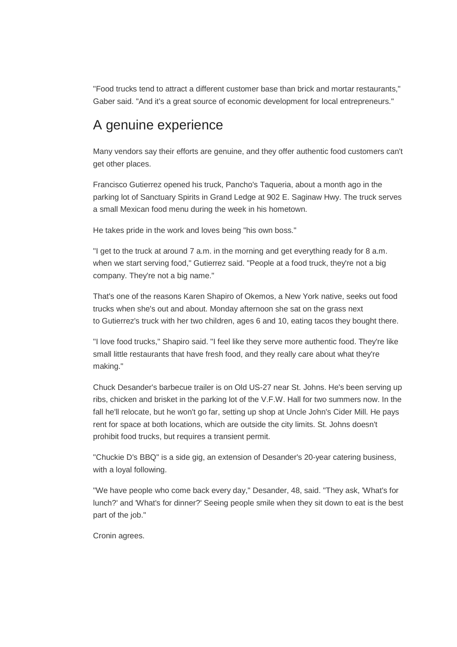"Food trucks tend to attract a different customer base than brick and mortar restaurants," Gaber said. "And it's a great source of economic development for local entrepreneurs."

#### A genuine experience

Many vendors say their efforts are genuine, and they offer authentic food customers can't get other places.

Francisco Gutierrez opened his truck, Pancho's Taqueria, about a month ago in the parking lot of Sanctuary Spirits in Grand Ledge at 902 E. Saginaw Hwy. The truck serves a small Mexican food menu during the week in his hometown.

He takes pride in the work and loves being "his own boss."

"I get to the truck at around 7 a.m. in the morning and get everything ready for 8 a.m. when we start serving food," Gutierrez said. "People at a food truck, they're not a big company. They're not a big name."

That's one of the reasons Karen Shapiro of Okemos, a New York native, seeks out food trucks when she's out and about. Monday afternoon she sat on the grass next to Gutierrez's truck with her two children, ages 6 and 10, eating tacos they bought there.

"I love food trucks," Shapiro said. "I feel like they serve more authentic food. They're like small little restaurants that have fresh food, and they really care about what they're making."

Chuck Desander's barbecue trailer is on Old US-27 near St. Johns. He's been serving up ribs, chicken and brisket in the parking lot of the V.F.W. Hall for two summers now. In the fall he'll relocate, but he won't go far, setting up shop at Uncle John's Cider Mill. He pays rent for space at both locations, which are outside the city limits. St. Johns doesn't prohibit food trucks, but requires a transient permit.

"Chuckie D's BBQ" is a side gig, an extension of Desander's 20-year catering business, with a loyal following.

"We have people who come back every day," Desander, 48, said. "They ask, 'What's for lunch?' and 'What's for dinner?' Seeing people smile when they sit down to eat is the best part of the job."

Cronin agrees.